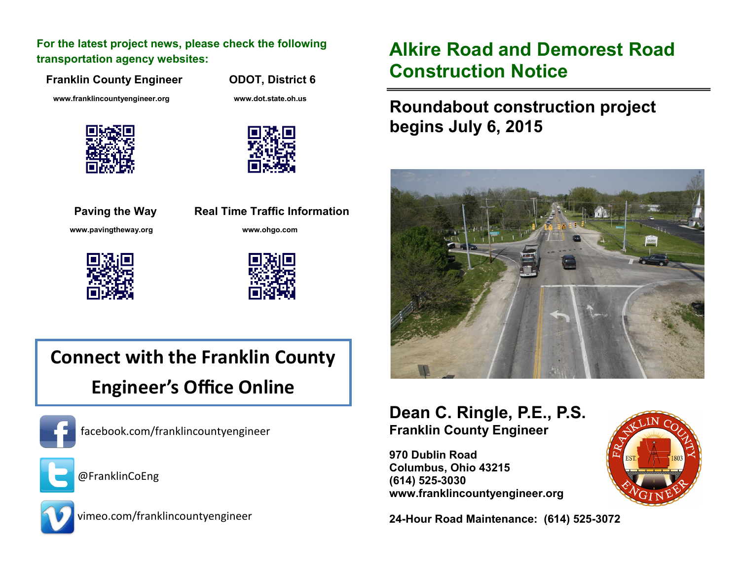**For the latest project news, please check the following transportation agency websites:** 

**Franklin County Engineer CODOT, District 6** 

 **[www.franklincountyengineer.org](http://www.franklincountyengineer.org) www.dot.state.oh.us**







**Paving the Way Real Time Traffic Information [www.pavingtheway.org](http://www.pavingtheway.org) www.ohgo.com**





# **Connect with the Franklin County Engineer's Office Online**



facebook.com/franklincountyengineer



@FranklinCoEng



vimeo.com/franklincountyengineer

## **Alkire Road and Demorest Road Construction Notice**

### **Roundabout construction project begins July 6, 2015**



#### **Dean C. Ringle, P.E., P.S. Franklin County Engineer**

**970 Dublin Road Columbus, Ohio 43215 (614) 525-3030 www.franklincountyengineer.org**

**24-Hour Road Maintenance: (614) 525-3072**